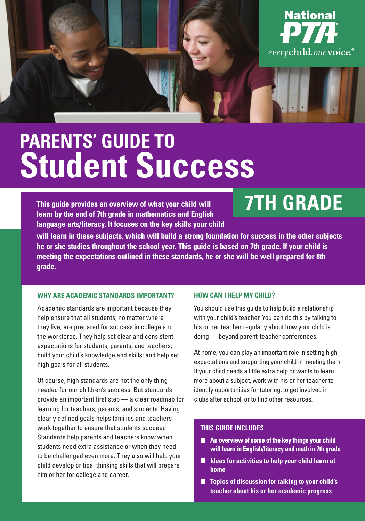

# **PARENTS' GUIDE TO Student Success**

**This guide provides an overview of what your child will learn by the end of 7th grade in mathematics and English language arts/literacy. It focuses on the key skills your child** 

# **7TH GRADE**

**will learn in these subjects, which will build a strong foundation for success in the other subjects he or she studies throughout the school year. This guide is based on 7th grade. If your child is meeting the expectations outlined in these standards, he or she will be well prepared for 8th grade.** 

#### **WHY ARE ACADEMIC STANDARDS IMPORTANT?**

Academic standards are important because they help ensure that all students, no matter where they live, are prepared for success in college and the workforce. They help set clear and consistent expectations for students, parents, and teachers; build your child's knowledge and skills; and help set high goals for all students.

Of course, high standards are not the only thing needed for our children's success. But standards provide an important first step — a clear roadmap for learning for teachers, parents, and students. Having clearly defined goals helps families and teachers work together to ensure that students succeed. Standards help parents and teachers know when students need extra assistance or when they need to be challenged even more. They also will help your child develop critical thinking skills that will prepare him or her for college and career.

#### **HOW CAN I HELP MY CHILD?**

You should use this guide to help build a relationship with your child's teacher. You can do this by talking to his or her teacher regularly about how your child is doing — beyond parent-teacher conferences.

At home, you can play an important role in setting high expectations and supporting your child in meeting them. If your child needs a little extra help or wants to learn more about a subject, work with his or her teacher to identify opportunities for tutoring, to get involved in clubs after school, or to find other resources.

#### **THIS GUIDE INCLUDES**

- An overview of some of the key things your child **will learn in English/literacy and math in 7th grade**
- **Ideas for activities to help your child learn at home**
- **Topics of discussion for talking to your child's teacher about his or her academic progress**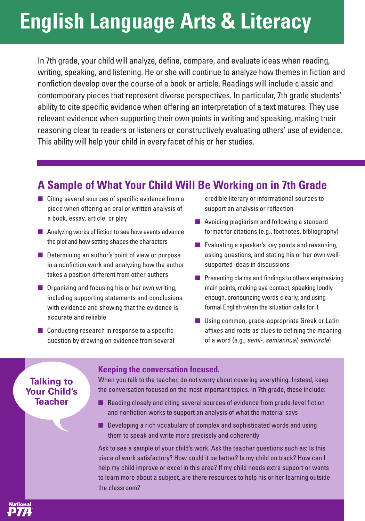# **English Language Arts & Literacy**

In 7th grade, your child will analyze, define, compare, and evaluate ideas when reading, writing, speaking, and listening. He or she will continue to analyze how themes in fiction and nonfiction develop over the course of a book or article. Readings will include classic and contemporary pieces that represent diverse perspectives. In particular, 7th grade students' ability to cite specific evidence when offering an interpretation of a text matures. They use relevant evidence when supporting their own points in writing and speaking, making their reasoning clear to readers or listeners or constructively evaluating others' use of evidence. This ability will help your child in every facet of his or her studies.

### **A Sample of What Your Child Will Be Working on in 7th Grade**

- Citing several sources of specific evidence from a piece when offering an oral or written analysis of a book, essay, article, or play
- Analyzing works of fiction to see how events advance the plot and how setting shapes the characters
- Determining an author's point of view or purpose in a nonfiction work and analyzing how the author takes a position different from other authors
- Organizing and focusing his or her own writing, including supporting statements and conclusions with evidence and showing that the evidence is accurate and reliable
- Conducting research in response to a specific question by drawing on evidence from several

credible literary or informational sources to support an analysis or reflection

- Avoiding plagiarism and following a standard format for citations (e.g., footnotes, bibliography)
- $\blacksquare$  Evaluating a speaker's key points and reasoning, asking questions, and stating his or her own wellsupported ideas in discussions
- Presenting claims and findings to others emphasizing main points, making eye contact, speaking loudly enough, pronouncing words clearly, and using formal English when the situation calls for it
- Using common, grade-appropriate Greek or Latin affixes and roots as clues to defining the meaning of a word (e.g., semi-, semiannual, semicircle)

### **Talking to Your Child's Teacher**

#### **Keeping the conversation focused.**

When you talk to the teacher, do not worry about covering everything. Instead, keep the conversation focused on the most important topics. In 7th grade, these include:

- Reading closely and citing several sources of evidence from grade-level fiction and nonfiction works to support an analysis of what the material says
- Developing a rich vocabulary of complex and sophisticated words and using them to speak and write more precisely and coherently

Ask to see a sample of your child's work. Ask the teacher questions such as: Is this piece of work satisfactory? How could it be better? Is my child on track? How can I help my child improve or excel in this area? If my child needs extra support or wants to learn more about a subject, are there resources to help his or her learning outside the classroom?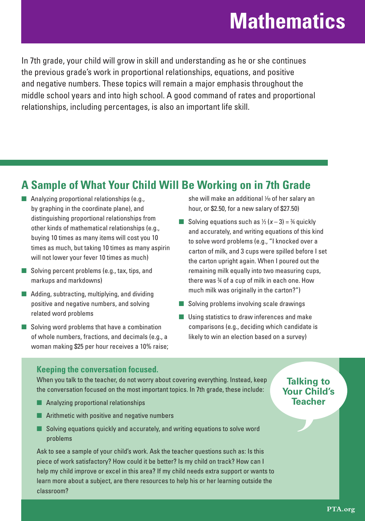## **Mathematics**

In 7th grade, your child will grow in skill and understanding as he or she continues the previous grade's work in proportional relationships, equations, and positive and negative numbers. These topics will remain a major emphasis throughout the middle school years and into high school. A good command of rates and proportional relationships, including percentages, is also an important life skill.

## **A Sample of What Your Child Will Be Working on in 7th Grade**

- Analyzing proportional relationships (e.g., by graphing in the coordinate plane), and distinguishing proportional relationships from other kinds of mathematical relationships (e.g., buying 10 times as many items will cost you 10 times as much, but taking 10 times as many aspirin will not lower your fever 10 times as much)
- Solving percent problems (e.g., tax, tips, and markups and markdowns)
- Adding, subtracting, multiplying, and dividing positive and negative numbers, and solving related word problems
- Solving word problems that have a combination of whole numbers, fractions, and decimals (e.g., a woman making \$25 per hour receives a 10% raise;

she will make an additional 1 ⁄10 of her salary an hour, or \$2.50, for a new salary of \$27.50)

- Solving equations such as  $\frac{1}{2}$  (x 3) =  $\frac{3}{4}$  quickly and accurately, and writing equations of this kind to solve word problems (e.g., "I knocked over a carton of milk, and 3 cups were spilled before I set the carton upright again. When I poured out the remaining milk equally into two measuring cups, there was 3 ⁄4 of a cup of milk in each one. How much milk was originally in the carton?")
- Solving problems involving scale drawings
- Using statistics to draw inferences and make comparisons (e.g., deciding which candidate is likely to win an election based on a survey)

### **Keeping the conversation focused.**

When you talk to the teacher, do not worry about covering everything. Instead, keep the conversation focused on the most important topics. In 7th grade, these include:

- Analyzing proportional relationships
- Arithmetic with positive and negative numbers
- Solving equations quickly and accurately, and writing equations to solve word problems

Ask to see a sample of your child's work. Ask the teacher questions such as: Is this piece of work satisfactory? How could it be better? Is my child on track? How can I help my child improve or excel in this area? If my child needs extra support or wants to learn more about a subject, are there resources to help his or her learning outside the classroom?

### **Talking to Your Child's Teacher**